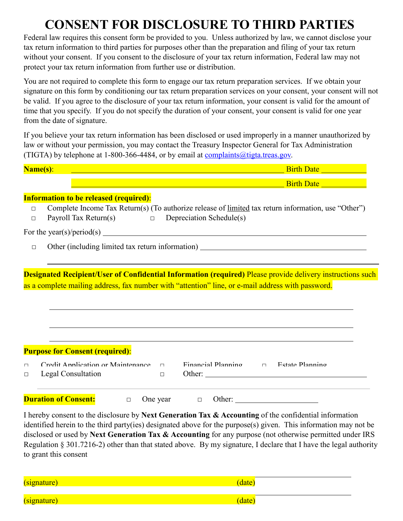## **CONSENT FOR DISCLOSURE TO THIRD PARTIES**

Federal law requires this consent form be provided to you. Unless authorized by law, we cannot disclose your tax return information to third parties for purposes other than the preparation and filing of your tax return without your consent. If you consent to the disclosure of your tax return information, Federal law may not protect your tax return information from further use or distribution.

You are not required to complete this form to engage our tax return preparation services. If we obtain your signature on this form by conditioning our tax return preparation services on your consent, your consent will not be valid. If you agree to the disclosure of your tax return information, your consent is valid for the amount of time that you specify. If you do not specify the duration of your consent, your consent is valid for one year from the date of signature.

If you believe your tax return information has been disclosed or used improperly in a manner unauthorized by law or without your permission, you may contact the Treasury Inspector General for Tax Administration (TIGTA) by telephone at 1-800-366-4484, or by email at  $complaints@tigta.treas.gov.$ </u>

| Name(s):         |                                                       |        | Birth Date <u>Samuel Birth Date</u><br><u>and a state of the state of the state of the state of the state of the state of the state of the state of the state of the state of the state of the state of the state of the state of the state of the state of the state o</u> |  |
|------------------|-------------------------------------------------------|--------|-----------------------------------------------------------------------------------------------------------------------------------------------------------------------------------------------------------------------------------------------------------------------------|--|
|                  |                                                       |        | <u>Birth Date and the contract of the contract of the Birth Date and the contract of the contract of the contract of the contract of the contract of the contract of the contract of the contract of the contract of the contrac</u>                                        |  |
|                  | <b>Information to be released (required):</b>         |        |                                                                                                                                                                                                                                                                             |  |
| $\Box$<br>$\Box$ | Payroll Tax Return(s) $\Box$ Depreciation Schedule(s) |        | Complete Income Tax Return(s) (To authorize release of <u>limited</u> tax return information, use "Other")                                                                                                                                                                  |  |
|                  |                                                       |        | For the year(s)/period(s) $\qquad \qquad$                                                                                                                                                                                                                                   |  |
| $\Box$           |                                                       |        |                                                                                                                                                                                                                                                                             |  |
|                  |                                                       |        | Designated Recipient/User of Confidential Information (required) Please provide delivery instructions such<br>as a complete mailing address, fax number with "attention" line, or e-mail address with password.                                                             |  |
|                  | <b>Purpose for Consent (required):</b>                |        |                                                                                                                                                                                                                                                                             |  |
| $\Box$           | Credit Annlication or Maintenance n                   |        | Financial Plannino – Estate Plannino                                                                                                                                                                                                                                        |  |
| $\Box$           | Legal Consultation                                    | $\Box$ |                                                                                                                                                                                                                                                                             |  |
|                  | <b>Duration of Consent:</b><br>$\Box$                 |        | One year D Other:                                                                                                                                                                                                                                                           |  |
|                  |                                                       |        | I hereby consent to the disclosure by Next Conquestion Tex 8. Accounting of the confidential information                                                                                                                                                                    |  |

I hereby consent to the disclosure by **Next Generation Tax & Accounting** of the confidential information identified herein to the third party(ies) designated above for the purpose(s) given. This information may not be disclosed or used by **Next Generation Tax & Accounting** for any purpose (not otherwise permitted under IRS Regulation § 301.7216-2) other than that stated above. By my signature, I declare that I have the legal authority to grant this consent

| (signature) | date   |
|-------------|--------|
| (signature) | (date) |